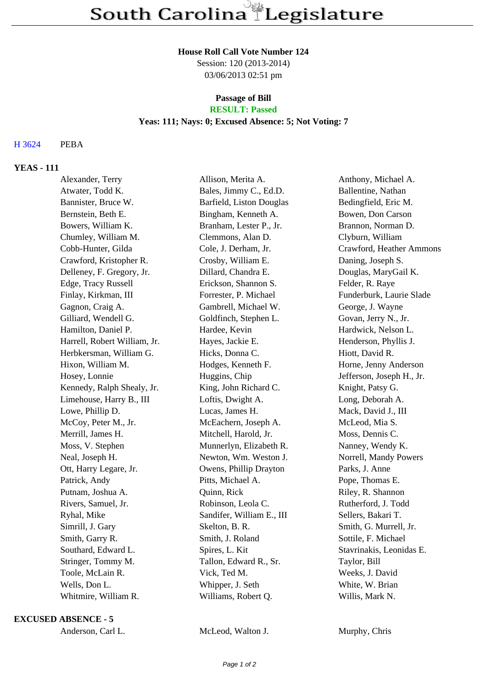#### **House Roll Call Vote Number 124**

Session: 120 (2013-2014) 03/06/2013 02:51 pm

### **Passage of Bill RESULT: Passed**

## **Yeas: 111; Nays: 0; Excused Absence: 5; Not Voting: 7**

# H 3624 PEBA

## **YEAS - 111**

| Alexander, Terry             | Allison, Merita A.        | Anthony, Michael A.       |
|------------------------------|---------------------------|---------------------------|
| Atwater, Todd K.             | Bales, Jimmy C., Ed.D.    | Ballentine, Nathan        |
| Bannister, Bruce W.          | Barfield, Liston Douglas  | Bedingfield, Eric M.      |
| Bernstein, Beth E.           | Bingham, Kenneth A.       | Bowen, Don Carson         |
| Bowers, William K.           | Branham, Lester P., Jr.   | Brannon, Norman D.        |
| Chumley, William M.          | Clemmons, Alan D.         | Clyburn, William          |
| Cobb-Hunter, Gilda           | Cole, J. Derham, Jr.      | Crawford, Heather Ammons  |
| Crawford, Kristopher R.      | Crosby, William E.        | Daning, Joseph S.         |
| Delleney, F. Gregory, Jr.    | Dillard, Chandra E.       | Douglas, MaryGail K.      |
| Edge, Tracy Russell          | Erickson, Shannon S.      | Felder, R. Raye           |
| Finlay, Kirkman, III         | Forrester, P. Michael     | Funderburk, Laurie Slade  |
| Gagnon, Craig A.             | Gambrell, Michael W.      | George, J. Wayne          |
| Gilliard, Wendell G.         | Goldfinch, Stephen L.     | Govan, Jerry N., Jr.      |
| Hamilton, Daniel P.          | Hardee, Kevin             | Hardwick, Nelson L.       |
| Harrell, Robert William, Jr. | Hayes, Jackie E.          | Henderson, Phyllis J.     |
| Herbkersman, William G.      | Hicks, Donna C.           | Hiott, David R.           |
| Hixon, William M.            | Hodges, Kenneth F.        | Horne, Jenny Anderson     |
| Hosey, Lonnie                | Huggins, Chip             | Jefferson, Joseph H., Jr. |
| Kennedy, Ralph Shealy, Jr.   | King, John Richard C.     | Knight, Patsy G.          |
| Limehouse, Harry B., III     | Loftis, Dwight A.         | Long, Deborah A.          |
| Lowe, Phillip D.             | Lucas, James H.           | Mack, David J., III       |
| McCoy, Peter M., Jr.         | McEachern, Joseph A.      | McLeod, Mia S.            |
| Merrill, James H.            | Mitchell, Harold, Jr.     | Moss, Dennis C.           |
| Moss, V. Stephen             | Munnerlyn, Elizabeth R.   | Nanney, Wendy K.          |
| Neal, Joseph H.              | Newton, Wm. Weston J.     | Norrell, Mandy Powers     |
| Ott, Harry Legare, Jr.       | Owens, Phillip Drayton    | Parks, J. Anne            |
| Patrick, Andy                | Pitts, Michael A.         | Pope, Thomas E.           |
| Putnam, Joshua A.            | Quinn, Rick               | Riley, R. Shannon         |
| Rivers, Samuel, Jr.          | Robinson, Leola C.        | Rutherford, J. Todd       |
| Ryhal, Mike                  | Sandifer, William E., III | Sellers, Bakari T.        |
| Simrill, J. Gary             | Skelton, B. R.            | Smith, G. Murrell, Jr.    |
| Smith, Garry R.              | Smith, J. Roland          | Sottile, F. Michael       |
| Southard, Edward L.          | Spires, L. Kit            | Stavrinakis, Leonidas E.  |
| Stringer, Tommy M.           | Tallon, Edward R., Sr.    | Taylor, Bill              |
| Toole, McLain R.             | Vick, Ted M.              | Weeks, J. David           |
| Wells, Don L.                | Whipper, J. Seth          | White, W. Brian           |
| Whitmire, William R.         | Williams, Robert Q.       | Willis, Mark N.           |
|                              |                           |                           |

### **EXCUSED ABSENCE - 5**

| Anderson, Carl L. |  |
|-------------------|--|
|-------------------|--|

McLeod, Walton J. Murphy, Chris